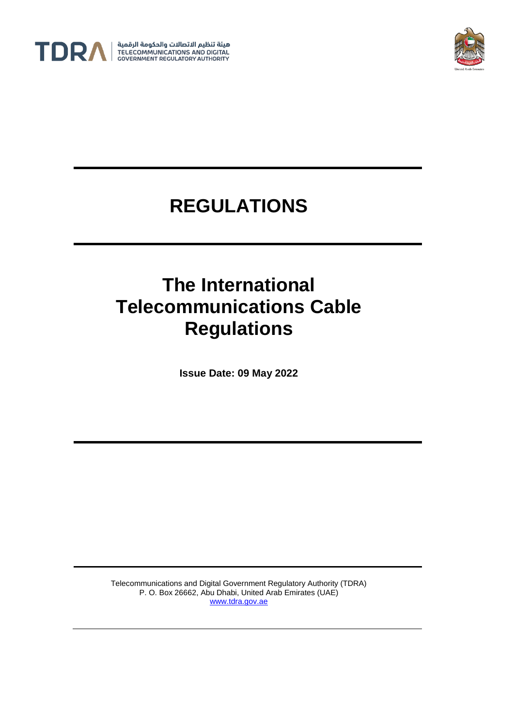



# **REGULATIONS**

# **The International Telecommunications Cable Regulations**

**Issue Date: 09 May 2022**

Telecommunications and Digital Government Regulatory Authority (TDRA) P. O. Box 26662, Abu Dhabi, United Arab Emirates (UAE) [www.tdra.gov.ae](http://www.tdra.gov.ae/)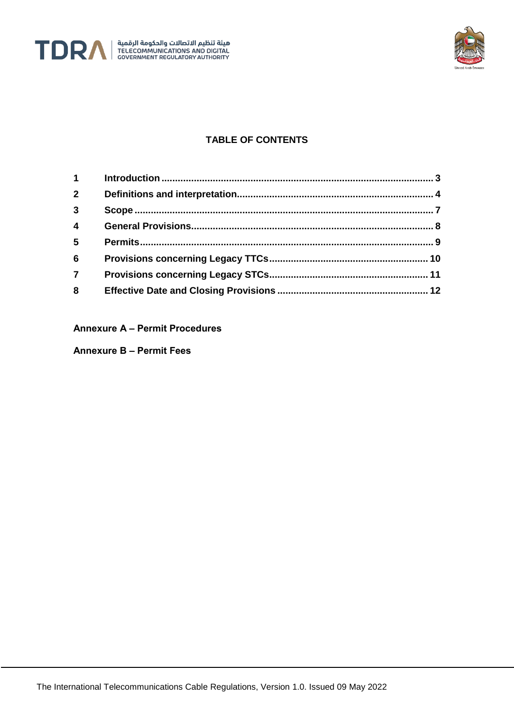



## **TABLE OF CONTENTS**

| $\mathbf 1$             |  |
|-------------------------|--|
| 2 <sup>1</sup>          |  |
| 3                       |  |
| $\overline{\mathbf{4}}$ |  |
| 5                       |  |
| $6\phantom{1}6$         |  |
| $\overline{7}$          |  |
| 8                       |  |

#### **Annexure A – Permit Procedures**

**Annexure B – Permit Fees**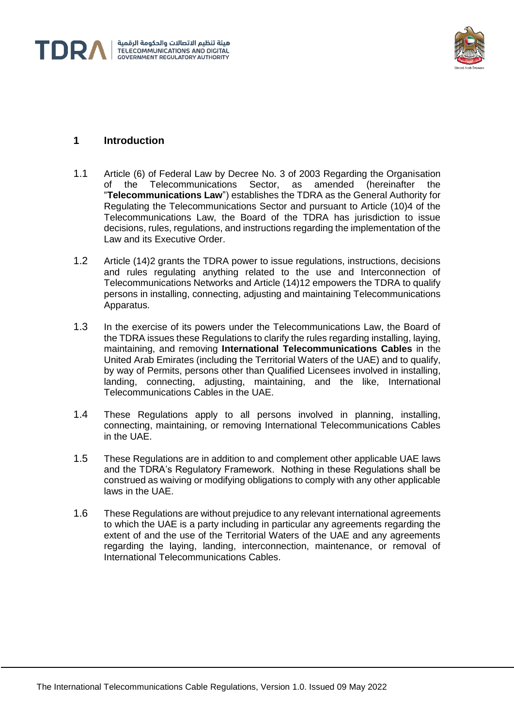



## **1 Introduction**

- 1.1 Article (6) of Federal Law by Decree No. 3 of 2003 Regarding the Organisation<br>of the Telecommunications Sector, as amended (hereinafter the Telecommunications Sector, as amended (hereinafter the "**Telecommunications Law**") establishes the TDRA as the General Authority for Regulating the Telecommunications Sector and pursuant to Article (10)4 of the Telecommunications Law, the Board of the TDRA has jurisdiction to issue decisions, rules, regulations, and instructions regarding the implementation of the Law and its Executive Order.
- 1.2 Article (14)2 grants the TDRA power to issue regulations, instructions, decisions and rules regulating anything related to the use and Interconnection of Telecommunications Networks and Article (14)12 empowers the TDRA to qualify persons in installing, connecting, adjusting and maintaining Telecommunications Apparatus.
- 1.3 In the exercise of its powers under the Telecommunications Law, the Board of the TDRA issues these Regulations to clarify the rules regarding installing, laying, maintaining, and removing **International Telecommunications Cables** in the United Arab Emirates (including the Territorial Waters of the UAE) and to qualify, by way of Permits, persons other than Qualified Licensees involved in installing, landing, connecting, adjusting, maintaining, and the like, International Telecommunications Cables in the UAE.
- 1.4 These Regulations apply to all persons involved in planning, installing, connecting, maintaining, or removing International Telecommunications Cables in the UAE.
- 1.5 These Regulations are in addition to and complement other applicable UAE laws and the TDRA's Regulatory Framework. Nothing in these Regulations shall be construed as waiving or modifying obligations to comply with any other applicable laws in the UAE.
- 1.6 These Regulations are without prejudice to any relevant international agreements to which the UAE is a party including in particular any agreements regarding the extent of and the use of the Territorial Waters of the UAE and any agreements regarding the laying, landing, interconnection, maintenance, or removal of International Telecommunications Cables.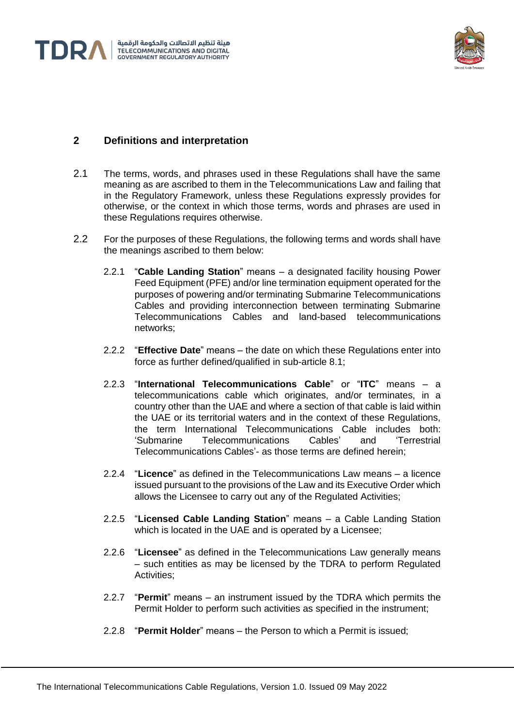



## **2 Definitions and interpretation**

- 2.1 The terms, words, and phrases used in these Regulations shall have the same meaning as are ascribed to them in the Telecommunications Law and failing that in the Regulatory Framework, unless these Regulations expressly provides for otherwise, or the context in which those terms, words and phrases are used in these Regulations requires otherwise.
- 2.2 For the purposes of these Regulations, the following terms and words shall have the meanings ascribed to them below:
	- 2.2.1 "**Cable Landing Station**" means a designated facility housing Power Feed Equipment (PFE) and/or line termination equipment operated for the purposes of powering and/or terminating Submarine Telecommunications Cables and providing interconnection between terminating Submarine Telecommunications Cables and land-based telecommunications networks;
	- 2.2.2 "**Effective Date**" means the date on which these Regulations enter into force as further defined/qualified in sub-article [8.1;](#page-11-0)
	- 2.2.3 "**International Telecommunications Cable**" or "**ITC**" means a telecommunications cable which originates, and/or terminates, in a country other than the UAE and where a section of that cable is laid within the UAE or its territorial waters and in the context of these Regulations, the term International Telecommunications Cable includes both:<br>
	'Submarine Telecommunications Cables' and 'Terrestrial 'Submarine Telecommunications Cables' and 'Terrestrial Telecommunications Cables'- as those terms are defined herein;
	- 2.2.4 "**Licence**" as defined in the Telecommunications Law means a licence issued pursuant to the provisions of the Law and its Executive Order which allows the Licensee to carry out any of the Regulated Activities;
	- 2.2.5 "**Licensed Cable Landing Station**" means a Cable Landing Station which is located in the UAE and is operated by a Licensee;
	- 2.2.6 "**Licensee**" as defined in the Telecommunications Law generally means – such entities as may be licensed by the TDRA to perform Regulated Activities:
	- 2.2.7 "**Permit**" means an instrument issued by the TDRA which permits the Permit Holder to perform such activities as specified in the instrument;
	- 2.2.8 "**Permit Holder**" means the Person to which a Permit is issued;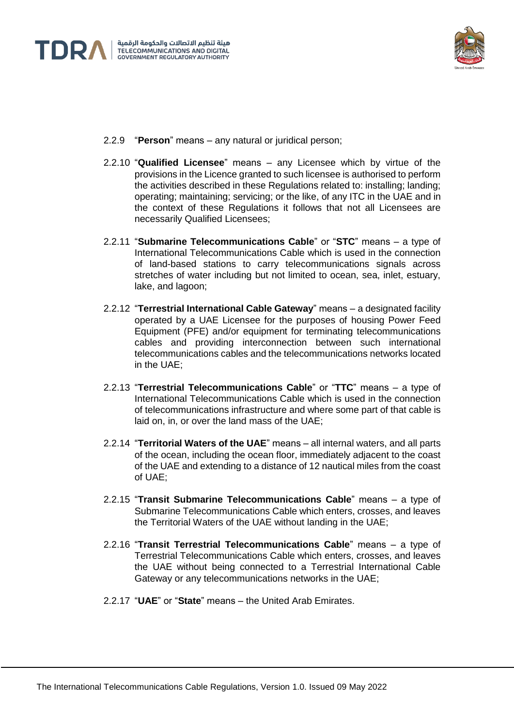



- 2.2.9 "**Person**" means any natural or juridical person;
- 2.2.10 "**Qualified Licensee**" means any Licensee which by virtue of the provisions in the Licence granted to such licensee is authorised to perform the activities described in these Regulations related to: installing; landing; operating; maintaining; servicing; or the like, of any ITC in the UAE and in the context of these Regulations it follows that not all Licensees are necessarily Qualified Licensees;
- 2.2.11 "**Submarine Telecommunications Cable**" or "**STC**" means a type of International Telecommunications Cable which is used in the connection of land-based stations to carry telecommunications signals across stretches of water including but not limited to ocean, sea, inlet, estuary, lake, and lagoon;
- 2.2.12 "**Terrestrial International Cable Gateway**" means a designated facility operated by a UAE Licensee for the purposes of housing Power Feed Equipment (PFE) and/or equipment for terminating telecommunications cables and providing interconnection between such international telecommunications cables and the telecommunications networks located in the UAE;
- 2.2.13 "**Terrestrial Telecommunications Cable**" or "**TTC**" means a type of International Telecommunications Cable which is used in the connection of telecommunications infrastructure and where some part of that cable is laid on, in, or over the land mass of the UAE;
- 2.2.14 "**Territorial Waters of the UAE**" means all internal waters, and all parts of the ocean, including the ocean floor, immediately adjacent to the coast of the UAE and extending to a distance of 12 nautical miles from the coast of UAE;
- 2.2.15 "**Transit Submarine Telecommunications Cable**" means a type of Submarine Telecommunications Cable which enters, crosses, and leaves the Territorial Waters of the UAE without landing in the UAE;
- 2.2.16 "**Transit Terrestrial Telecommunications Cable**" means a type of Terrestrial Telecommunications Cable which enters, crosses, and leaves the UAE without being connected to a Terrestrial International Cable Gateway or any telecommunications networks in the UAE;
- 2.2.17 "**UAE**" or "**State**" means the United Arab Emirates.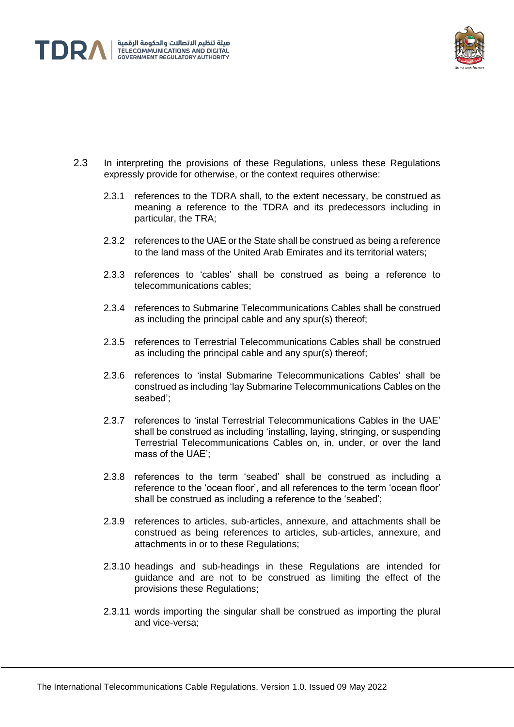



- 2.3 In interpreting the provisions of these Regulations, unless these Regulations expressly provide for otherwise, or the context requires otherwise:
	- 2.3.1 references to the TDRA shall, to the extent necessary, be construed as meaning a reference to the TDRA and its predecessors including in particular, the TRA;
	- 2.3.2 references to the UAE or the State shall be construed as being a reference to the land mass of the United Arab Emirates and its territorial waters;
	- 2.3.3 references to 'cables' shall be construed as being a reference to telecommunications cables;
	- 2.3.4 references to Submarine Telecommunications Cables shall be construed as including the principal cable and any spur(s) thereof;
	- 2.3.5 references to Terrestrial Telecommunications Cables shall be construed as including the principal cable and any spur(s) thereof;
	- 2.3.6 references to 'instal Submarine Telecommunications Cables' shall be construed as including 'lay Submarine Telecommunications Cables on the seabed';
	- 2.3.7 references to 'instal Terrestrial Telecommunications Cables in the UAE' shall be construed as including 'installing, laying, stringing, or suspending Terrestrial Telecommunications Cables on, in, under, or over the land mass of the UAE';
	- 2.3.8 references to the term 'seabed' shall be construed as including a reference to the 'ocean floor', and all references to the term 'ocean floor' shall be construed as including a reference to the 'seabed';
	- 2.3.9 references to articles, sub-articles, annexure, and attachments shall be construed as being references to articles, sub-articles, annexure, and attachments in or to these Regulations;
	- 2.3.10 headings and sub-headings in these Regulations are intended for guidance and are not to be construed as limiting the effect of the provisions these Regulations;
	- 2.3.11 words importing the singular shall be construed as importing the plural and vice-versa;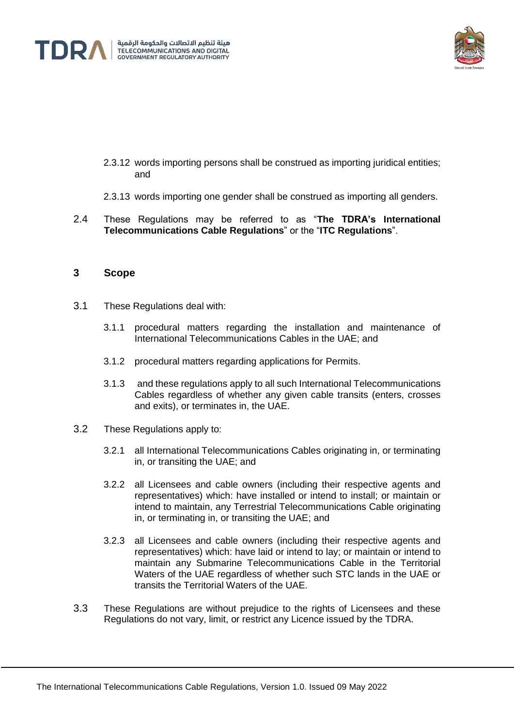



- 2.3.12 words importing persons shall be construed as importing juridical entities; and
- 2.3.13 words importing one gender shall be construed as importing all genders.
- 2.4 These Regulations may be referred to as "**The TDRA's International Telecommunications Cable Regulations**" or the "**ITC Regulations**".

#### **3 Scope**

- 3.1 These Regulations deal with:
	- 3.1.1 procedural matters regarding the installation and maintenance of International Telecommunications Cables in the UAE; and
	- 3.1.2 procedural matters regarding applications for Permits.
	- 3.1.3 and these regulations apply to all such International Telecommunications Cables regardless of whether any given cable transits (enters, crosses and exits), or terminates in, the UAE.
- 3.2 These Regulations apply to:
	- 3.2.1 all International Telecommunications Cables originating in, or terminating in, or transiting the UAE; and
	- 3.2.2 all Licensees and cable owners (including their respective agents and representatives) which: have installed or intend to install; or maintain or intend to maintain, any Terrestrial Telecommunications Cable originating in, or terminating in, or transiting the UAE; and
	- 3.2.3 all Licensees and cable owners (including their respective agents and representatives) which: have laid or intend to lay; or maintain or intend to maintain any Submarine Telecommunications Cable in the Territorial Waters of the UAE regardless of whether such STC lands in the UAE or transits the Territorial Waters of the UAE.
- 3.3 These Regulations are without prejudice to the rights of Licensees and these Regulations do not vary, limit, or restrict any Licence issued by the TDRA.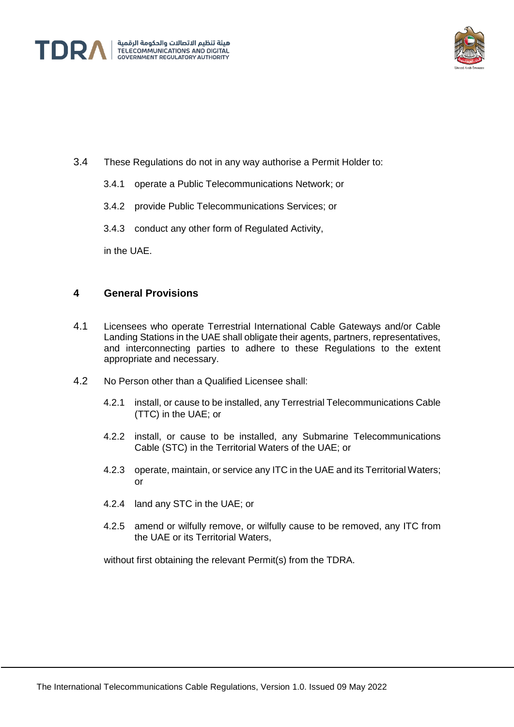



- 3.4 These Regulations do not in any way authorise a Permit Holder to:
	- 3.4.1 operate a Public Telecommunications Network; or
	- 3.4.2 provide Public Telecommunications Services; or
	- 3.4.3 conduct any other form of Regulated Activity,

in the UAE.

#### **4 General Provisions**

- 4.1 Licensees who operate Terrestrial International Cable Gateways and/or Cable Landing Stations in the UAE shall obligate their agents, partners, representatives, and interconnecting parties to adhere to these Regulations to the extent appropriate and necessary.
- 4.2 No Person other than a Qualified Licensee shall:
	- 4.2.1 install, or cause to be installed, any Terrestrial Telecommunications Cable (TTC) in the UAE; or
	- 4.2.2 install, or cause to be installed, any Submarine Telecommunications Cable (STC) in the Territorial Waters of the UAE; or
	- 4.2.3 operate, maintain, or service any ITC in the UAE and its Territorial Waters; or
	- 4.2.4 land any STC in the UAE; or
	- 4.2.5 amend or wilfully remove, or wilfully cause to be removed, any ITC from the UAE or its Territorial Waters,

without first obtaining the relevant Permit(s) from the TDRA.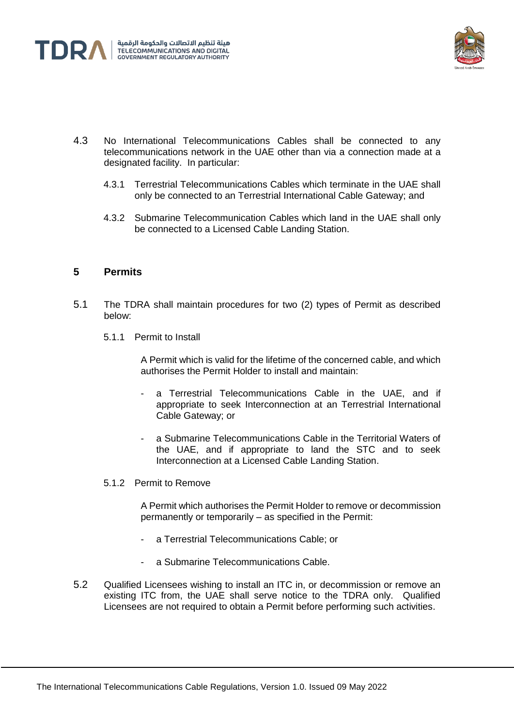



- 4.3 No International Telecommunications Cables shall be connected to any telecommunications network in the UAE other than via a connection made at a designated facility. In particular:
	- 4.3.1 Terrestrial Telecommunications Cables which terminate in the UAE shall only be connected to an Terrestrial International Cable Gateway; and
	- 4.3.2 Submarine Telecommunication Cables which land in the UAE shall only be connected to a Licensed Cable Landing Station.

### **5 Permits**

- 5.1 The TDRA shall maintain procedures for two (2) types of Permit as described below:
	- 5.1.1 Permit to Install

A Permit which is valid for the lifetime of the concerned cable, and which authorises the Permit Holder to install and maintain:

- a Terrestrial Telecommunications Cable in the UAE, and if appropriate to seek Interconnection at an Terrestrial International Cable Gateway; or
- a Submarine Telecommunications Cable in the Territorial Waters of the UAE, and if appropriate to land the STC and to seek Interconnection at a Licensed Cable Landing Station.
- 5.1.2 Permit to Remove

A Permit which authorises the Permit Holder to remove or decommission permanently or temporarily – as specified in the Permit:

- a Terrestrial Telecommunications Cable; or
- a Submarine Telecommunications Cable.
- 5.2 Qualified Licensees wishing to install an ITC in, or decommission or remove an existing ITC from, the UAE shall serve notice to the TDRA only. Qualified Licensees are not required to obtain a Permit before performing such activities.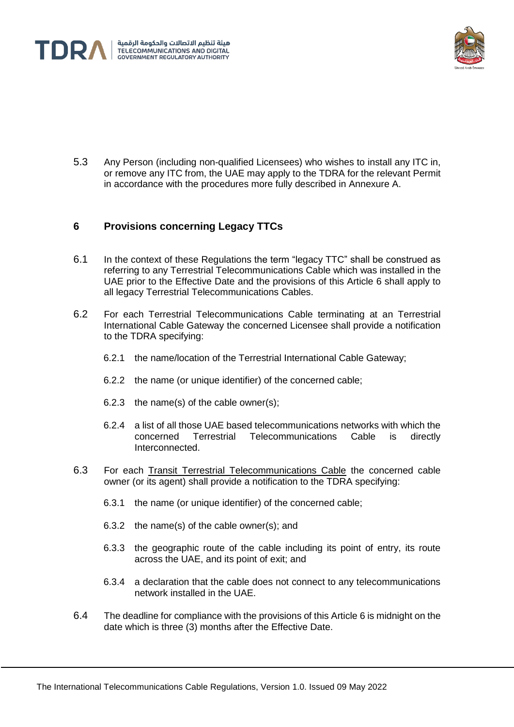



5.3 Any Person (including non-qualified Licensees) who wishes to install any ITC in, or remove any ITC from, the UAE may apply to the TDRA for the relevant Permit in accordance with the procedures more fully described in Annexure A.

### <span id="page-9-0"></span>**6 Provisions concerning Legacy TTCs**

- 6.1 In the context of these Regulations the term "legacy TTC" shall be construed as referring to any Terrestrial Telecommunications Cable which was installed in the UAE prior to the Effective Date and the provisions of this Article [6](#page-9-0) shall apply to all legacy Terrestrial Telecommunications Cables.
- <span id="page-9-1"></span>6.2 For each Terrestrial Telecommunications Cable terminating at an Terrestrial International Cable Gateway the concerned Licensee shall provide a notification to the TDRA specifying:
	- 6.2.1 the name/location of the Terrestrial International Cable Gateway;
	- 6.2.2 the name (or unique identifier) of the concerned cable;
	- 6.2.3 the name(s) of the cable owner(s);
	- 6.2.4 a list of all those UAE based telecommunications networks with which the concerned Terrestrial Telecommunications Cable is directly Interconnected.
- <span id="page-9-2"></span>6.3 For each Transit Terrestrial Telecommunications Cable the concerned cable owner (or its agent) shall provide a notification to the TDRA specifying:
	- 6.3.1 the name (or unique identifier) of the concerned cable;
	- 6.3.2 the name(s) of the cable owner(s); and
	- 6.3.3 the geographic route of the cable including its point of entry, its route across the UAE, and its point of exit; and
	- 6.3.4 a declaration that the cable does not connect to any telecommunications network installed in the UAE.
- 6.4 The deadline for compliance with the provisions of this Article [6](#page-9-0) is midnight on the date which is three (3) months after the Effective Date.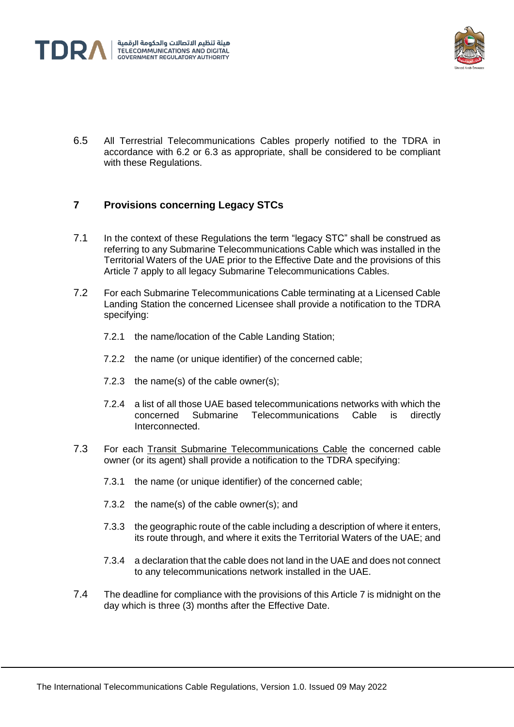



6.5 All Terrestrial Telecommunications Cables properly notified to the TDRA in accordance with [6.2](#page-9-1) or [6.3](#page-9-2) as appropriate, shall be considered to be compliant with these Regulations.

## <span id="page-10-0"></span>**7 Provisions concerning Legacy STCs**

- 7.1 In the context of these Regulations the term "legacy STC" shall be construed as referring to any Submarine Telecommunications Cable which was installed in the Territorial Waters of the UAE prior to the Effective Date and the provisions of this Article [7](#page-10-0) apply to all legacy Submarine Telecommunications Cables.
- <span id="page-10-1"></span>7.2 For each Submarine Telecommunications Cable terminating at a Licensed Cable Landing Station the concerned Licensee shall provide a notification to the TDRA specifying:
	- 7.2.1 the name/location of the Cable Landing Station;
	- 7.2.2 the name (or unique identifier) of the concerned cable;
	- 7.2.3 the name(s) of the cable owner(s);
	- 7.2.4 a list of all those UAE based telecommunications networks with which the concerned Submarine Telecommunications Cable is directly Interconnected.
- <span id="page-10-2"></span>7.3 For each Transit Submarine Telecommunications Cable the concerned cable owner (or its agent) shall provide a notification to the TDRA specifying:
	- 7.3.1 the name (or unique identifier) of the concerned cable;
	- 7.3.2 the name(s) of the cable owner(s); and
	- 7.3.3 the geographic route of the cable including a description of where it enters, its route through, and where it exits the Territorial Waters of the UAE; and
	- 7.3.4 a declaration that the cable does not land in the UAE and does not connect to any telecommunications network installed in the UAE.
- 7.4 The deadline for compliance with the provisions of this Article 7 is midnight on the day which is three (3) months after the Effective Date.